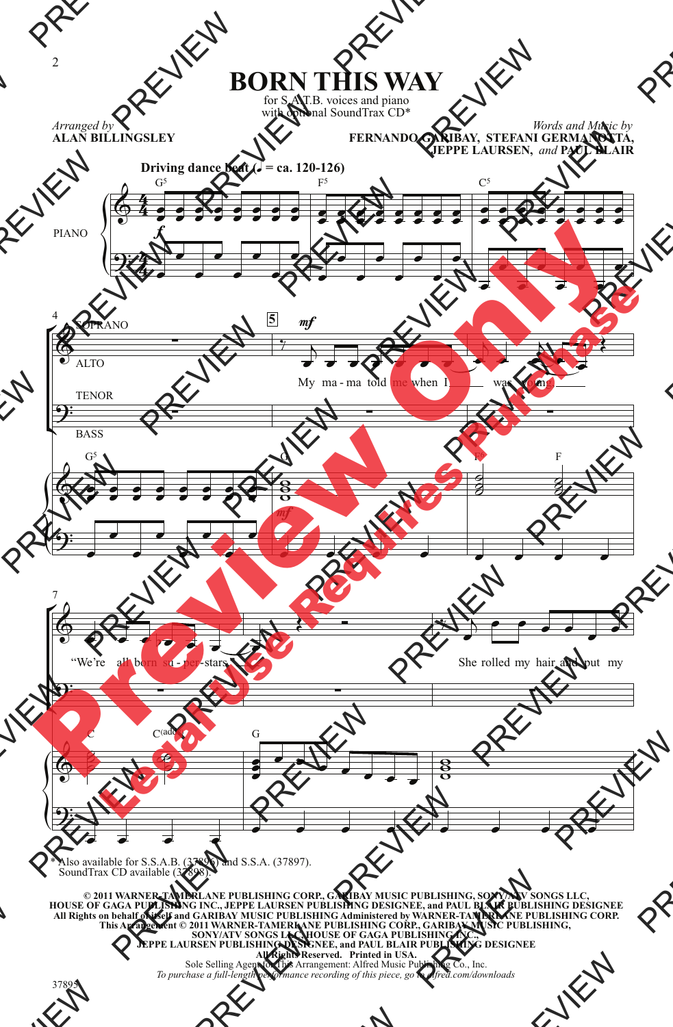**BORN THIS WAY**

for S.A.T.B. voices and piano with optional SoundTrax CD\*

*Arranged by* **ALAN BILLINGSLEY**





\* Also available for S.S.A.B. (37896) and S.S.A. (37897). SoundTrax CD available (37898).

© 2011 WARNER-TAMERLANE PUBLISHING CORP., GARIBAY MUSIC PUBLISHING, SONY/ATV SONGS LLC,<br>HOUSE OF GAGA PUBLISHING INC., JEPPE LAURSEN PUBLISHING DESIGNEE, and PAUL BLAIR PUBLISHING DESIGNEE<br>All Rights on behalf of itself an **All Rights Reserved. Printed in USA.** Sole Selling Agent for This Arrangement: Alfred Music Publishing Co., Inc. *To purchase a full-length performance recording of this piece, go to alfred.com/downloads*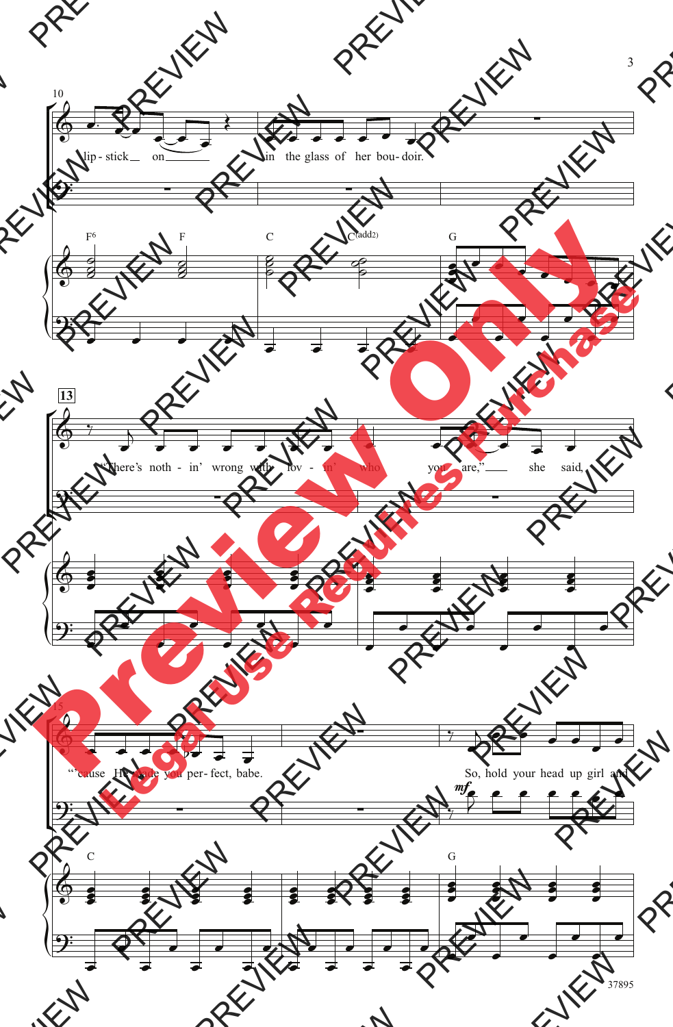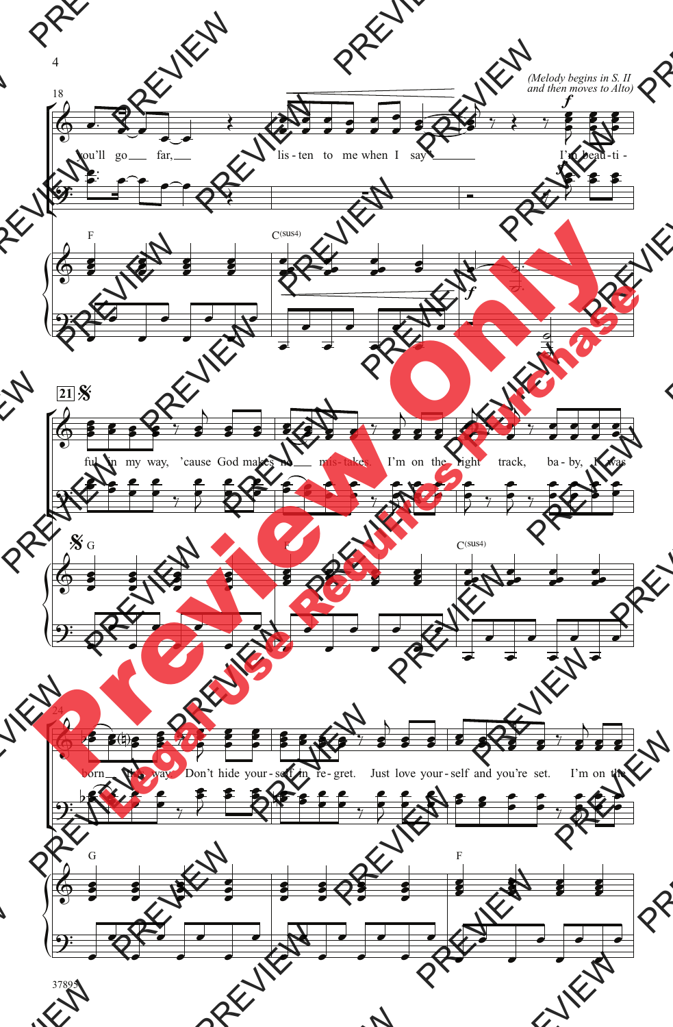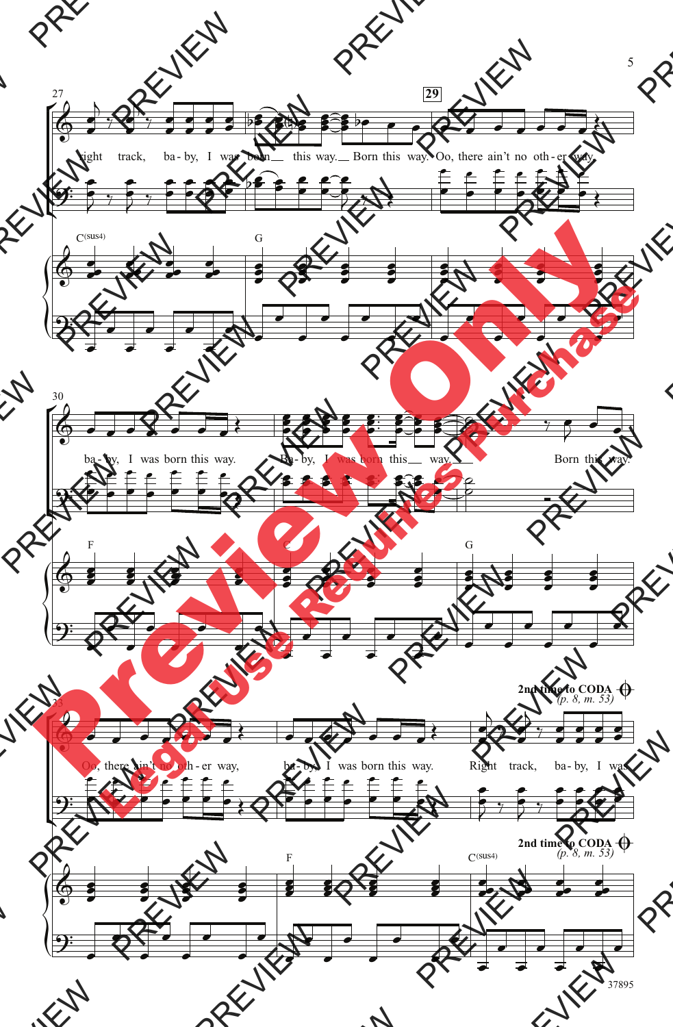![](_page_3_Figure_0.jpeg)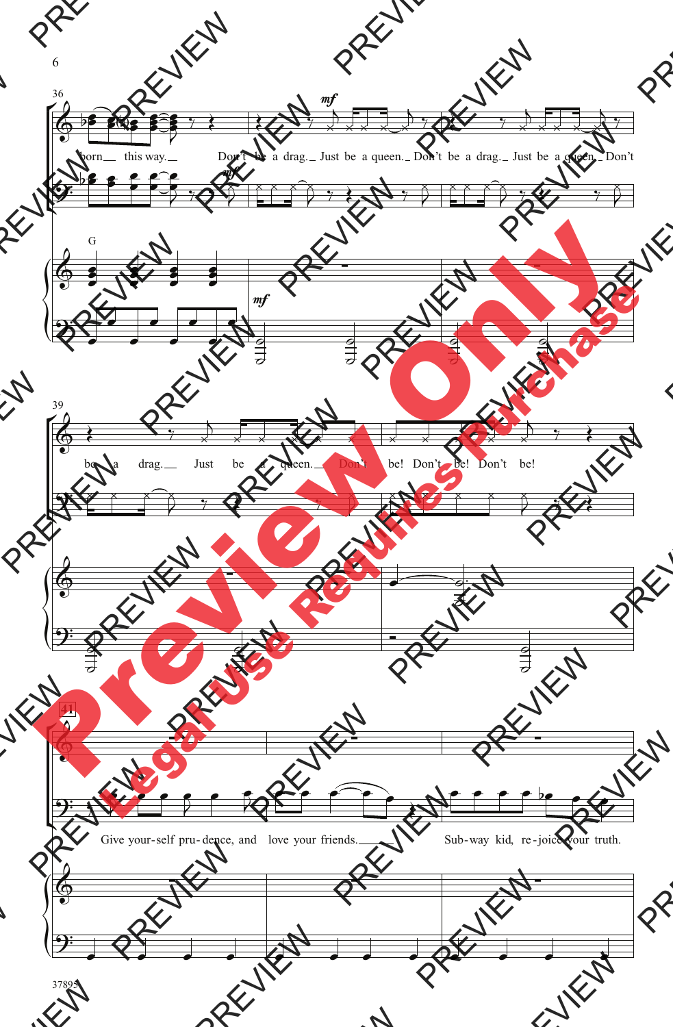![](_page_4_Figure_0.jpeg)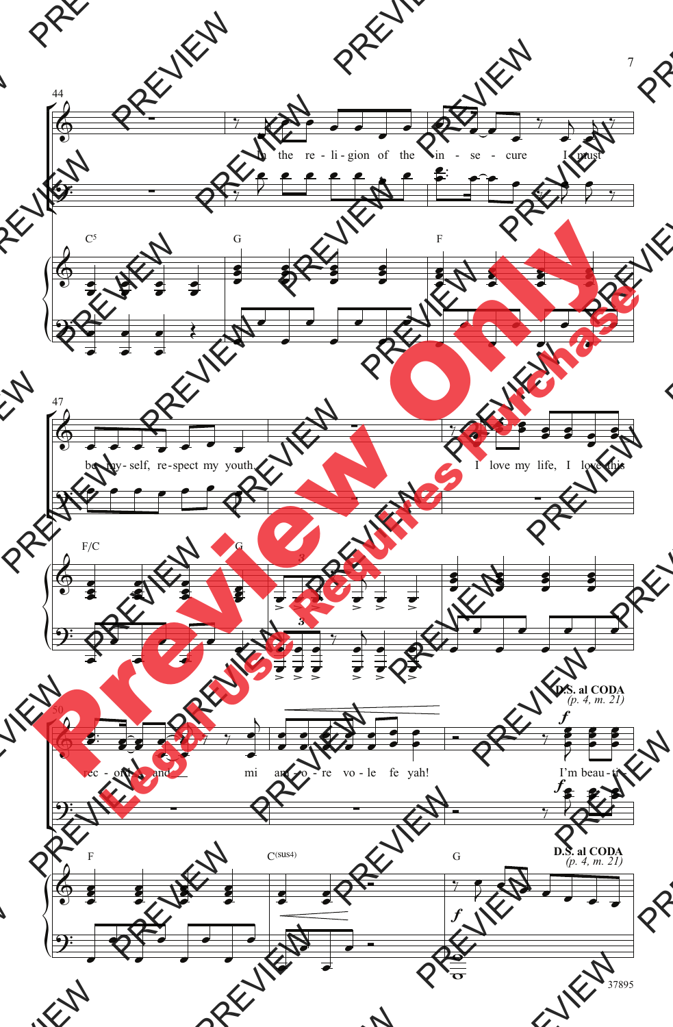![](_page_5_Figure_0.jpeg)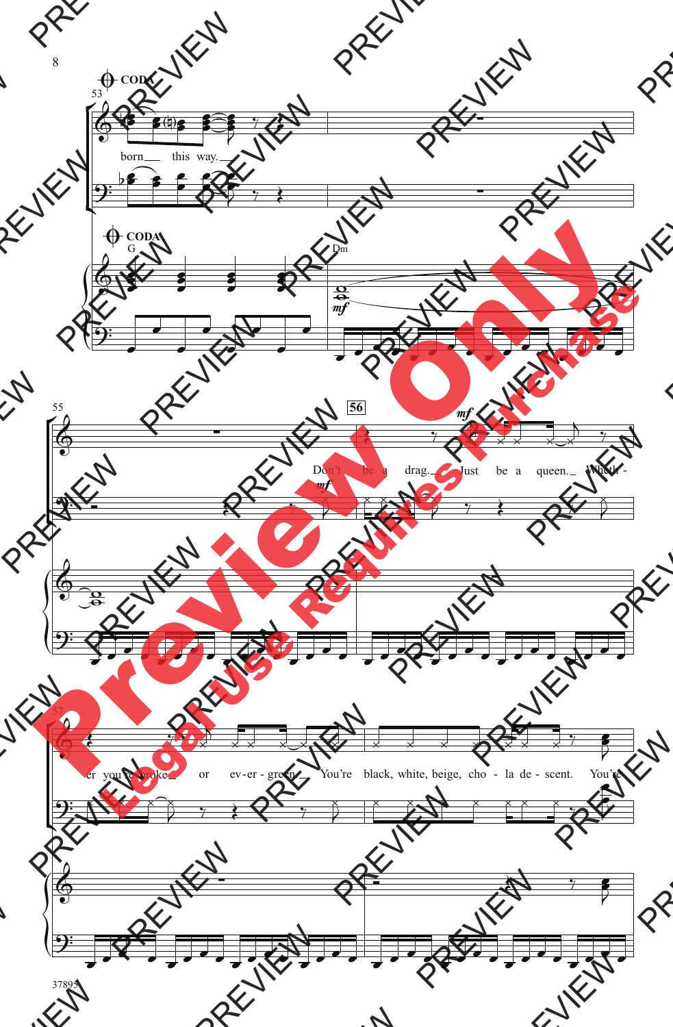![](_page_6_Figure_0.jpeg)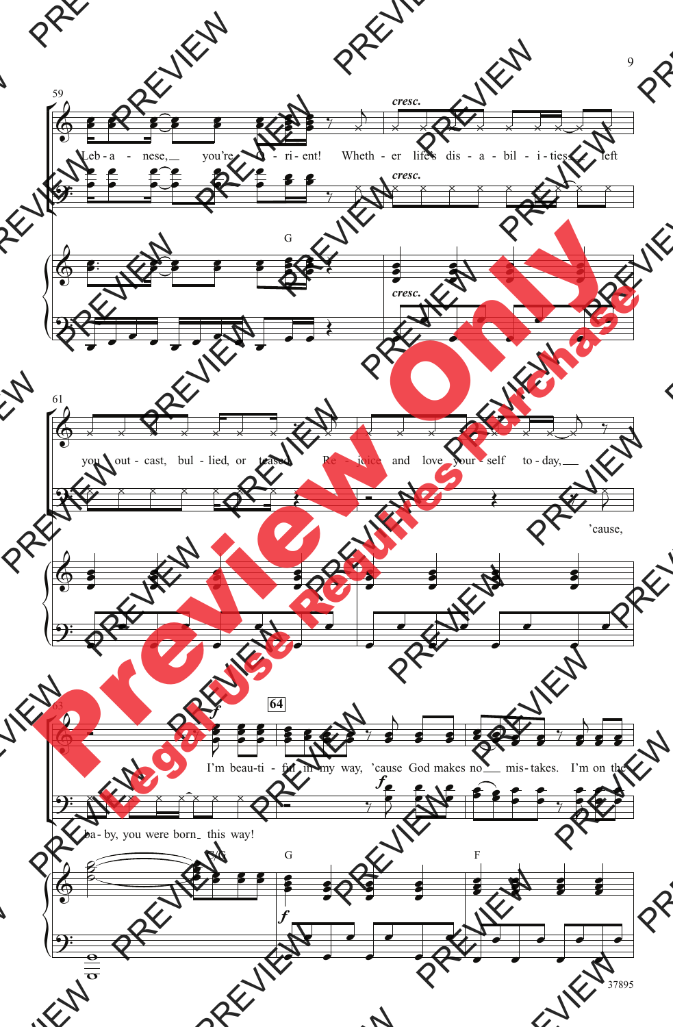![](_page_7_Figure_0.jpeg)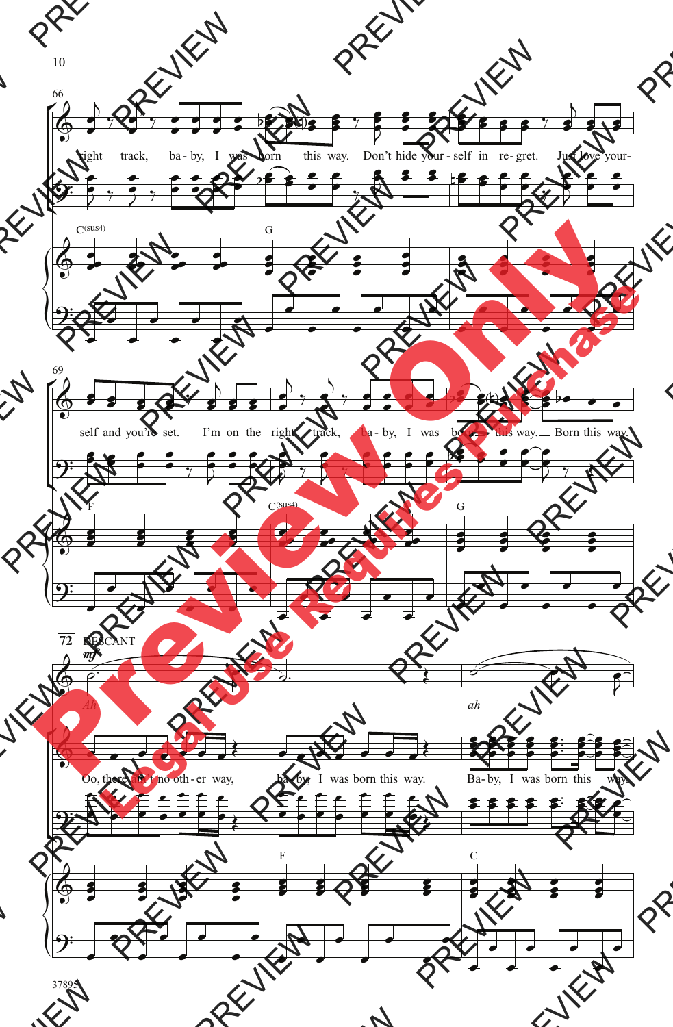![](_page_8_Figure_0.jpeg)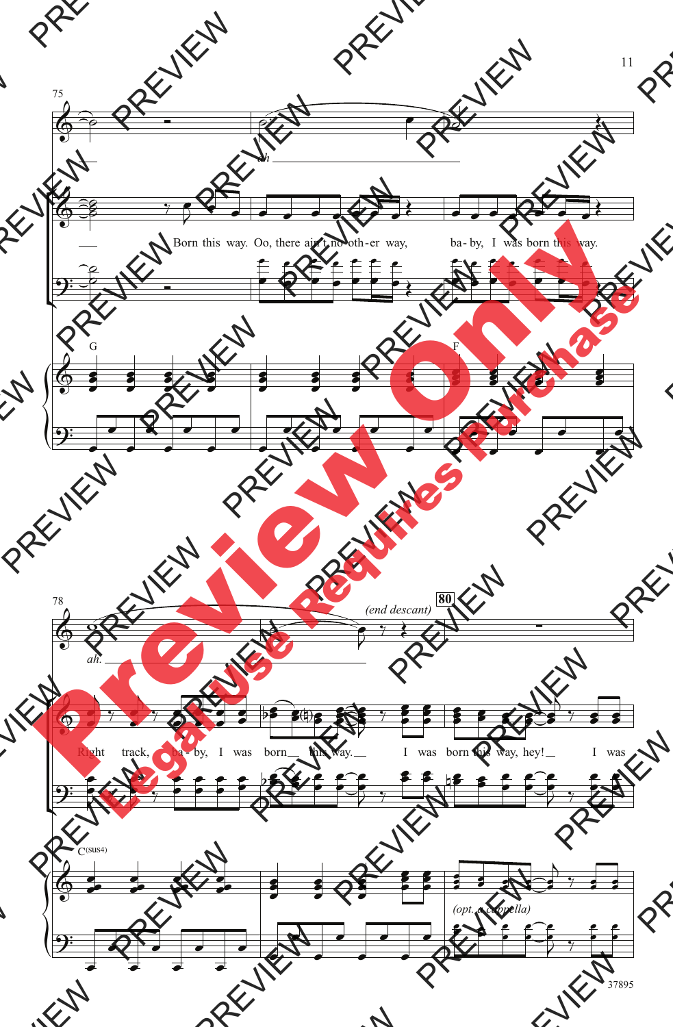![](_page_9_Figure_0.jpeg)